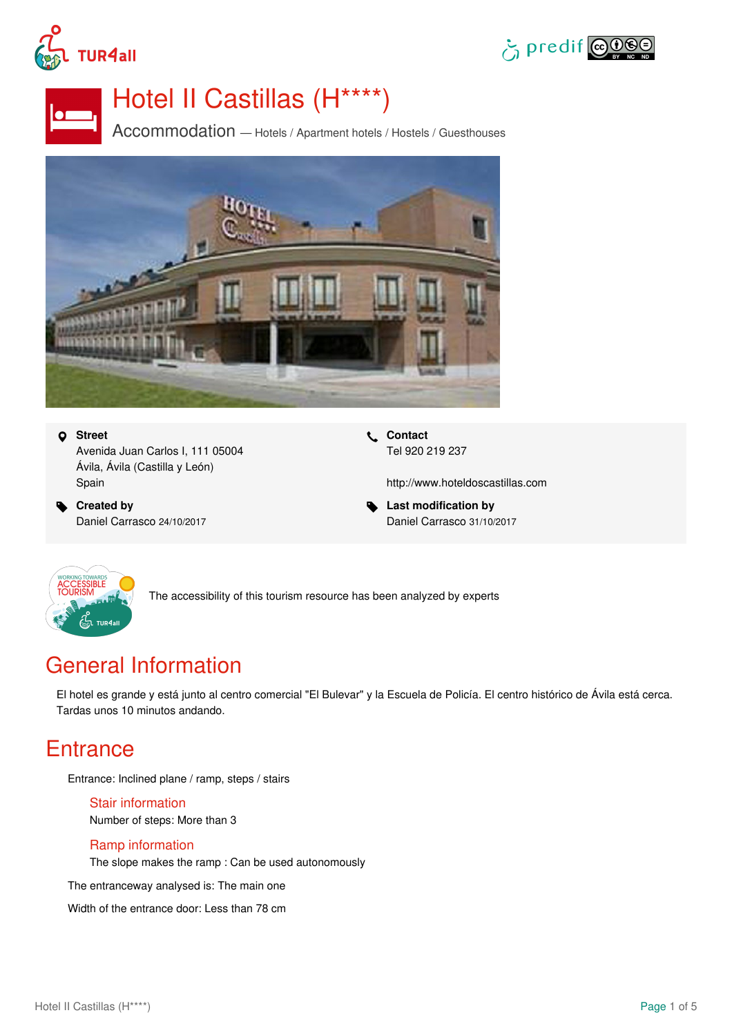





# Hotel II Castillas (H\*\*\*\*)

Accommodation — Hotels / Apartment hotels / Hostels / Guesthouses



#### **Street**

Avenida Juan Carlos I, 111 05004 Ávila, Ávila (Castilla y León) Spain

 **Created by** Daniel Carrasco 24/10/2017  **Contact** Tel 920 219 237

<http://www.hoteldoscastillas.com>

 **Last modification by** Daniel Carrasco 31/10/2017



The accessibility of this tourism resource has been analyzed by experts

# General Information

El hotel es grande y está junto al centro comercial "El Bulevar" y la Escuela de Policía. El centro histórico de Ávila está cerca. Tardas unos 10 minutos andando.

### **Entrance**

Entrance: Inclined plane / ramp, steps / stairs

Stair information Number of steps: More than 3

#### Ramp information

The slope makes the ramp : Can be used autonomously

The entranceway analysed is: The main one

Width of the entrance door: Less than 78 cm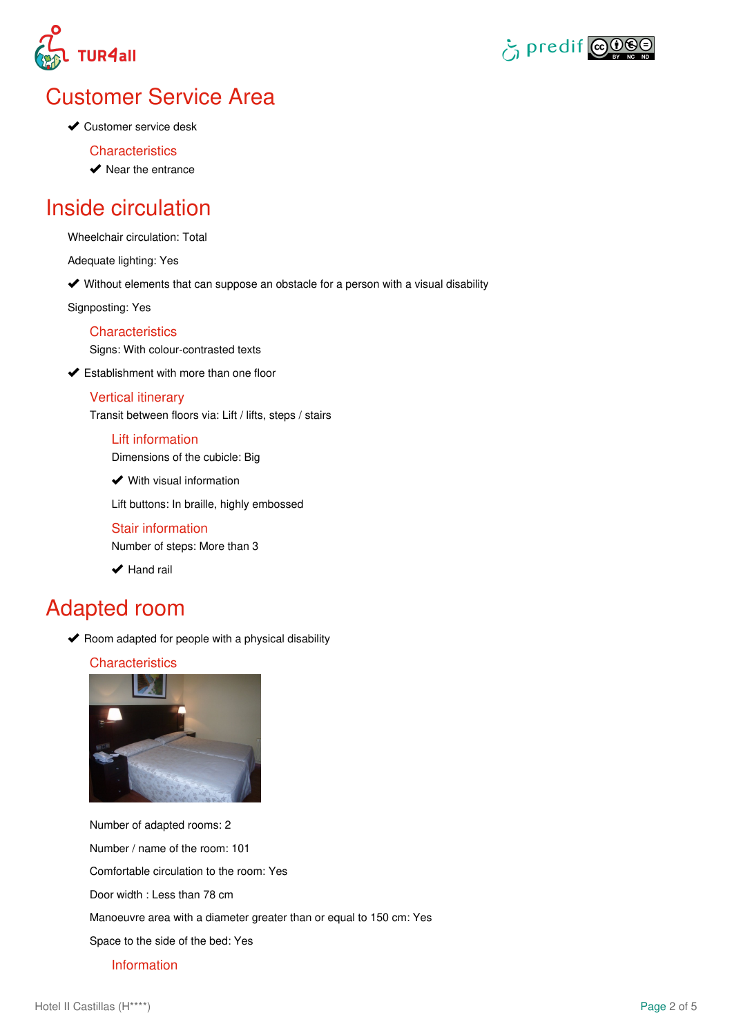



# Customer Service Area

**◆ Customer service desk** 

#### **Characteristics**

 $\blacktriangleright$  Near the entrance

### Inside circulation

Wheelchair circulation: Total

Adequate lighting: Yes

Without elements that can suppose an obstacle for a person with a visual disability

Signposting: Yes

#### **Characteristics**

Signs: With colour-contrasted texts

**◆ Establishment with more than one floor** 

#### Vertical itinerary

Transit between floors via: Lift / lifts, steps / stairs

#### Lift information

Dimensions of the cubicle: Big

**◆** With visual information

Lift buttons: In braille, highly embossed

#### Stair information

Number of steps: More than 3

 $\blacktriangleright$  Hand rail

### Adapted room

 $\blacktriangleright$  Room adapted for people with a physical disability

#### **Characteristics**



Number of adapted rooms: 2 Number / name of the room: 101 Comfortable circulation to the room: Yes Door width : Less than 78 cm Manoeuvre area with a diameter greater than or equal to 150 cm: Yes Space to the side of the bed: Yes Information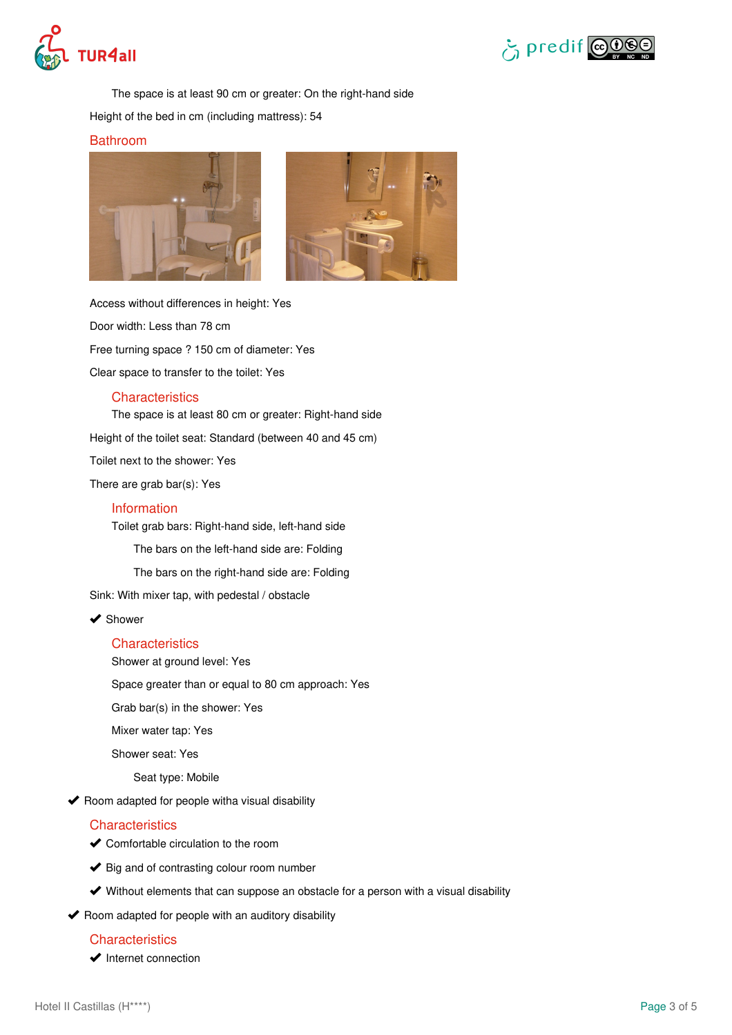



The space is at least 90 cm or greater: On the right-hand side

Height of the bed in cm (including mattress): 54

#### Bathroom





Access without differences in height: Yes Door width: Less than 78 cm Free turning space ? 150 cm of diameter: Yes Clear space to transfer to the toilet: Yes

#### **Characteristics**

The space is at least 80 cm or greater: Right-hand side

Height of the toilet seat: Standard (between 40 and 45 cm)

Toilet next to the shower: Yes

There are grab bar(s): Yes

#### Information

Toilet grab bars: Right-hand side, left-hand side

The bars on the left-hand side are: Folding

The bars on the right-hand side are: Folding

Sink: With mixer tap, with pedestal / obstacle

◆ Shower

#### **Characteristics**

Shower at ground level: Yes

Space greater than or equal to 80 cm approach: Yes

Grab bar(s) in the shower: Yes

Mixer water tap: Yes

Shower seat: Yes

Seat type: Mobile

 $\blacktriangleright$  Room adapted for people witha visual disability

#### **Characteristics**

◆ Comfortable circulation to the room

- $\blacktriangleright$  Big and of contrasting colour room number
- Without elements that can suppose an obstacle for a person with a visual disability

 $\blacktriangleright$  Room adapted for people with an auditory disability

#### **Characteristics**

 $\blacktriangleright$  Internet connection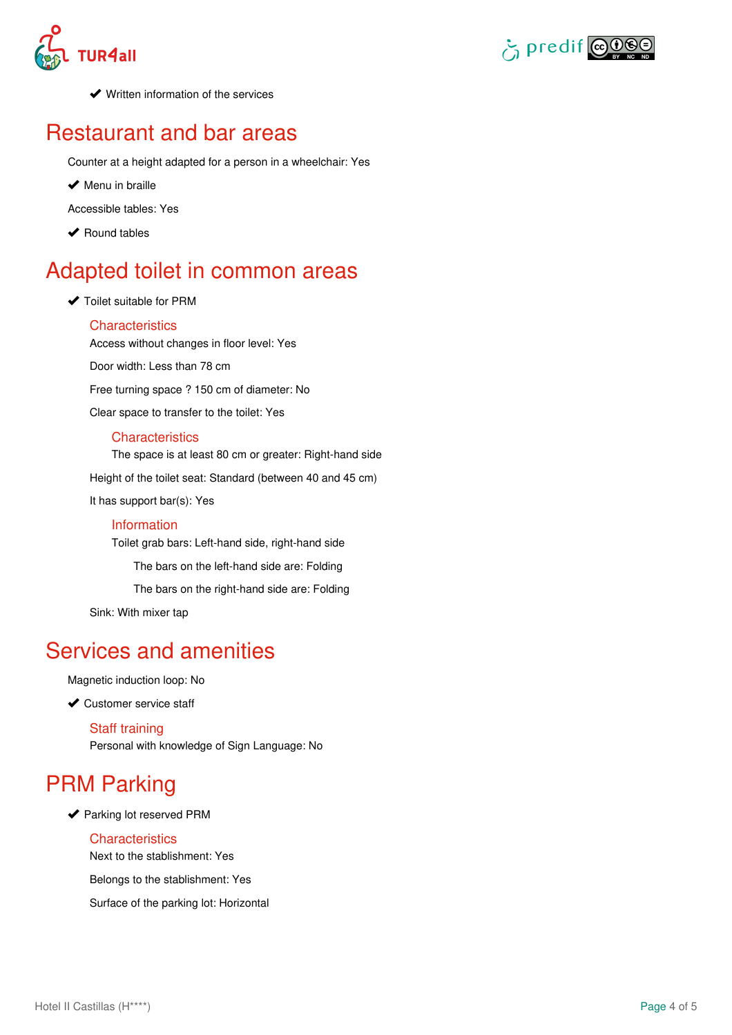



**◆** Written information of the services

### Restaurant and bar areas

Counter at a height adapted for a person in a wheelchair: Yes

 $\blacktriangleright$  Menu in braille

Accessible tables: Yes

◆ Round tables

# Adapted toilet in common areas

◆ Toilet suitable for PRM

#### **Characteristics**

Access without changes in floor level: Yes Door width: Less than 78 cm Free turning space ? 150 cm of diameter: No Clear space to transfer to the toilet: Yes

#### **Characteristics**

The space is at least 80 cm or greater: Right-hand side Height of the toilet seat: Standard (between 40 and 45 cm) It has support bar(s): Yes Information

Toilet grab bars: Left-hand side, right-hand side The bars on the left-hand side are: Folding The bars on the right-hand side are: Folding

Sink: With mixer tap

### Services and amenities

Magnetic induction loop: No

◆ Customer service staff

Staff training Personal with knowledge of Sign Language: No

# PRM Parking

◆ Parking lot reserved PRM

#### **Characteristics**

Next to the stablishment: Yes

Belongs to the stablishment: Yes

Surface of the parking lot: Horizontal